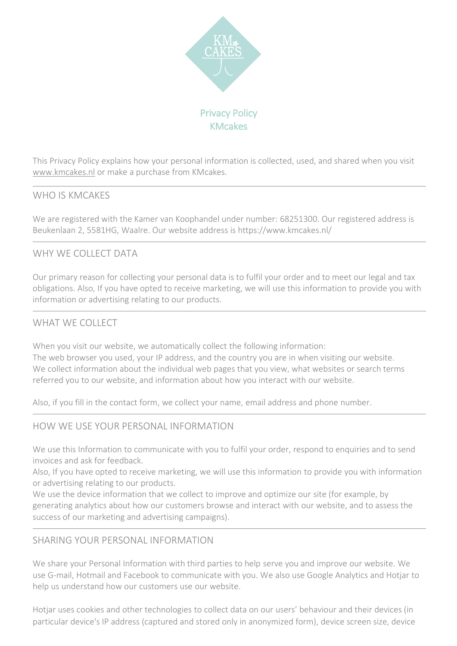

This Privacy Policy explains how your personal information is collected, used, and shared when you visit [www.kmcakes.nl](http://www.kmcakes.nl/) or make a purchase from KMcakes.

# WHO IS KMCAKES

We are registered with the Kamer van Koophandel under number: 68251300. Our registered address is Beukenlaan 2, 5581HG, Waalre. Our website address is https://www.kmcakes.nl/

# WHY WE COLLECT DATA

Our primary reason for collecting your personal data is to fulfil your order and to meet our legal and tax obligations. Also, If you have opted to receive marketing, we will use this information to provide you with information or advertising relating to our products.

## WHAT WE COLLECT

When you visit our website, we automatically collect the following information: The web browser you used, your IP address, and the country you are in when visiting our website. We collect information about the individual web pages that you view, what websites or search terms referred you to our website, and information about how you interact with our website.

Also, if you fill in the contact form, we collect your name, email address and phone number.

#### HOW WE USE YOUR PERSONAL INFORMATION

We use this Information to communicate with you to fulfil your order, respond to enquiries and to send invoices and ask for feedback.

Also, If you have opted to receive marketing, we will use this information to provide you with information or advertising relating to our products.

We use the device information that we collect to improve and optimize our site (for example, by generating analytics about how our customers browse and interact with our website, and to assess the success of our marketing and advertising campaigns).

#### SHARING YOUR PERSONAL INFORMATION

We share your Personal Information with third parties to help serve you and improve our website. We use G-mail, Hotmail and Facebook to communicate with you. We also use Google Analytics and Hotjar to help us understand how our customers use our website.

Hotjar uses cookies and other technologies to collect data on our users' behaviour and their devices (in particular device's IP address (captured and stored only in anonymized form), device screen size, device